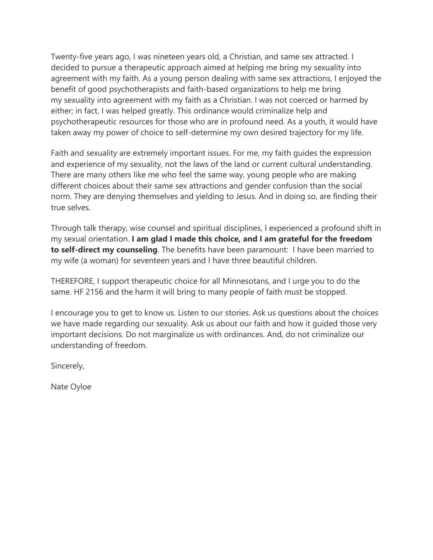Twenty-five years ago, I was nineteen years old, a Christian, and same sex attracted. I decided to pursue a therapeutic approach aimed at helping me bring my sexuality into agreement with my faith. As a young person dealing with same sex attractions, I enjoyed the benefit of good psychotherapists and faith-based organizations to help me bring my sexuality into agreement with my faith as a Christian. I was not coerced or harmed by either; in fact, I was helped greatly. This ordinance would criminalize help and psychotherapeutic resources for those who are in profound need. As a youth, it would have taken away my power of choice to self-determine my own desired trajectory for my life.

Faith and sexuality are extremely important issues. For me, my faith guides the expression and experience of my sexuality, not the laws of the land or current cultural understanding. There are many others like me who feel the same way, young people who are making different choices about their same sex attractions and gender confusion than the social norm. They are denying themselves and yielding to Jesus. And in doing so, are finding their true selves.

Through talk therapy, wise counsel and spiritual disciplines, I experienced a profound shift in my sexual orientation. **I am glad I made this choice, and I am grateful for the freedom to self-direct my counseling**. The benefits have been paramount: I have been married to my wife (a woman) for seventeen years and I have three beautiful children.

THEREFORE, I support therapeutic choice for all Minnesotans, and I urge you to do the same. HF 2156 and the harm it will bring to many people of faith must be stopped.

I encourage you to get to know us. Listen to our stories. Ask us questions about the choices we have made regarding our sexuality. Ask us about our faith and how it guided those very important decisions. Do not marginalize us with ordinances. And, do not criminalize our understanding of freedom.

Sincerely,

Nate Oyloe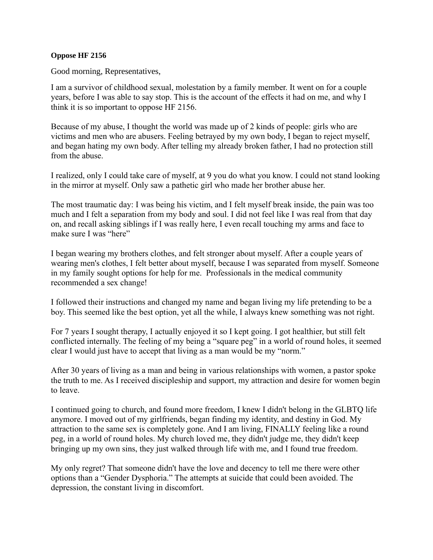## **Oppose HF 2156**

Good morning, Representatives,

I am a survivor of childhood sexual, molestation by a family member. It went on for a couple years, before I was able to say stop. This is the account of the effects it had on me, and why I think it is so important to oppose HF 2156.

Because of my abuse, I thought the world was made up of 2 kinds of people: girls who are victims and men who are abusers. Feeling betrayed by my own body, I began to reject myself, and began hating my own body. After telling my already broken father, I had no protection still from the abuse.

I realized, only I could take care of myself, at 9 you do what you know. I could not stand looking in the mirror at myself. Only saw a pathetic girl who made her brother abuse her.

The most traumatic day: I was being his victim, and I felt myself break inside, the pain was too much and I felt a separation from my body and soul. I did not feel like I was real from that day on, and recall asking siblings if I was really here, I even recall touching my arms and face to make sure I was "here"

I began wearing my brothers clothes, and felt stronger about myself. After a couple years of wearing men's clothes, I felt better about myself, because I was separated from myself. Someone in my family sought options for help for me. Professionals in the medical community recommended a sex change!

I followed their instructions and changed my name and began living my life pretending to be a boy. This seemed like the best option, yet all the while, I always knew something was not right.

For 7 years I sought therapy, I actually enjoyed it so I kept going. I got healthier, but still felt conflicted internally. The feeling of my being a "square peg" in a world of round holes, it seemed clear I would just have to accept that living as a man would be my "norm."

After 30 years of living as a man and being in various relationships with women, a pastor spoke the truth to me. As I received discipleship and support, my attraction and desire for women begin to leave.

I continued going to church, and found more freedom, I knew I didn't belong in the GLBTQ life anymore. I moved out of my girlfriends, began finding my identity, and destiny in God. My attraction to the same sex is completely gone. And I am living, FINALLY feeling like a round peg, in a world of round holes. My church loved me, they didn't judge me, they didn't keep bringing up my own sins, they just walked through life with me, and I found true freedom.

My only regret? That someone didn't have the love and decency to tell me there were other options than a "Gender Dysphoria." The attempts at suicide that could been avoided. The depression, the constant living in discomfort.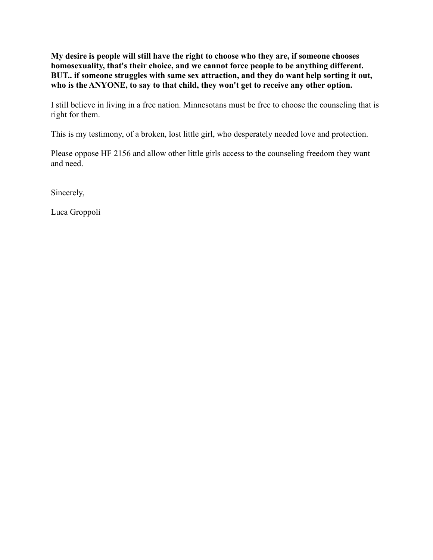**My desire is people will still have the right to choose who they are, if someone chooses homosexuality, that's their choice, and we cannot force people to be anything different. BUT.. if someone struggles with same sex attraction, and they do want help sorting it out, who is the ANYONE, to say to that child, they won't get to receive any other option.**

I still believe in living in a free nation. Minnesotans must be free to choose the counseling that is right for them.

This is my testimony, of a broken, lost little girl, who desperately needed love and protection.

Please oppose HF 2156 and allow other little girls access to the counseling freedom they want and need.

Sincerely,

Luca Groppoli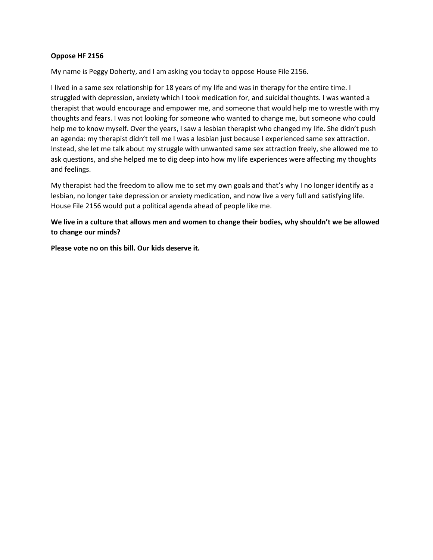## **Oppose HF 2156**

My name is Peggy Doherty, and I am asking you today to oppose House File 2156.

I lived in a same sex relationship for 18 years of my life and was in therapy for the entire time. I struggled with depression, anxiety which I took medication for, and suicidal thoughts. I was wanted a therapist that would encourage and empower me, and someone that would help me to wrestle with my thoughts and fears. I was not looking for someone who wanted to change me, but someone who could help me to know myself. Over the years, I saw a lesbian therapist who changed my life. She didn't push an agenda: my therapist didn't tell me I was a lesbian just because I experienced same sex attraction. Instead, she let me talk about my struggle with unwanted same sex attraction freely, she allowed me to ask questions, and she helped me to dig deep into how my life experiences were affecting my thoughts and feelings.

My therapist had the freedom to allow me to set my own goals and that's why I no longer identify as a lesbian, no longer take depression or anxiety medication, and now live a very full and satisfying life. House File 2156 would put a political agenda ahead of people like me.

**We live in a culture that allows men and women to change their bodies, why shouldn't we be allowed to change our minds?**

**Please vote no on this bill. Our kids deserve it.**